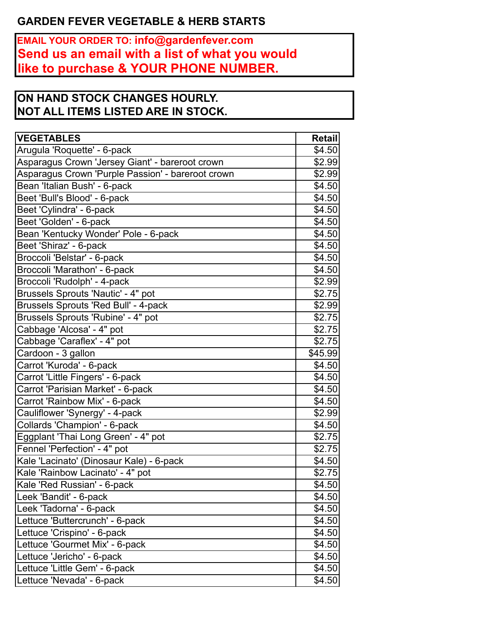## **GARDEN FEVER VEGETABLE & HERB STARTS**

**EMAIL YOUR ORDER TO: info@gardenfever.com Send us an email with a list of what you would like to purchase & YOUR PHONE NUMBER.**

## **ON HAND STOCK CHANGES HOURLY. NOT ALL ITEMS LISTED ARE IN STOCK.**

| <b>VEGETABLES</b>                                 | <b>Retail</b> |
|---------------------------------------------------|---------------|
| Arugula 'Roquette' - 6-pack                       | \$4.50        |
| Asparagus Crown 'Jersey Giant' - bareroot crown   | \$2.99        |
| Asparagus Crown 'Purple Passion' - bareroot crown | \$2.99        |
| Bean 'Italian Bush' - 6-pack                      | \$4.50        |
| Beet 'Bull's Blood' - 6-pack                      | \$4.50        |
| Beet 'Cylindra' - 6-pack                          | \$4.50        |
| Beet 'Golden' - 6-pack                            | \$4.50        |
| Bean 'Kentucky Wonder' Pole - 6-pack              | \$4.50        |
| Beet 'Shiraz' - 6-pack                            | \$4.50        |
| Broccoli 'Belstar' - 6-pack                       | \$4.50        |
| Broccoli 'Marathon' - 6-pack                      | \$4.50        |
| Broccoli 'Rudolph' - 4-pack                       | \$2.99        |
| Brussels Sprouts 'Nautic' - 4" pot                | \$2.75        |
| <b>Brussels Sprouts 'Red Bull' - 4-pack</b>       | \$2.99        |
| Brussels Sprouts 'Rubine' - 4" pot                | \$2.75        |
| Cabbage 'Alcosa' - 4" pot                         | \$2.75        |
| Cabbage 'Caraflex' - 4" pot                       | \$2.75        |
| Cardoon - 3 gallon                                | \$45.99       |
| Carrot 'Kuroda' - 6-pack                          | \$4.50        |
| Carrot 'Little Fingers' - 6-pack                  | \$4.50        |
| Carrot 'Parisian Market' - 6-pack                 | \$4.50        |
| Carrot 'Rainbow Mix' - 6-pack                     | \$4.50        |
| Cauliflower 'Synergy' - 4-pack                    | \$2.99        |
| Collards 'Champion' - 6-pack                      | \$4.50        |
| Eggplant 'Thai Long Green' - 4" pot               | \$2.75        |
| Fennel 'Perfection' - 4" pot                      | \$2.75        |
| Kale 'Lacinato' (Dinosaur Kale) - 6-pack          | \$4.50        |
| Kale 'Rainbow Lacinato' - 4" pot                  | \$2.75        |
| Kale 'Red Russian' - 6-pack                       | \$4.50        |
| Leek 'Bandit' - 6-pack                            | \$4.50        |
| Leek 'Tadorna' - 6-pack                           | \$4.50        |
| Lettuce 'Buttercrunch' - 6-pack                   | \$4.50        |
| Lettuce 'Crispino' - 6-pack                       | \$4.50        |
| Lettuce 'Gourmet Mix' - 6-pack                    | \$4.50        |
| Lettuce 'Jericho' - 6-pack                        | \$4.50        |
| Lettuce 'Little Gem' - 6-pack                     | \$4.50        |
| Lettuce 'Nevada' - 6-pack                         | \$4.50        |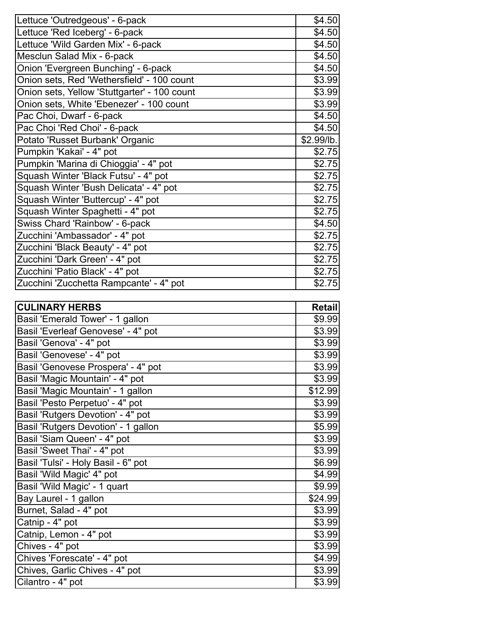| Lettuce 'Outredgeous' - 6-pack               | \$4.50     |
|----------------------------------------------|------------|
| Lettuce 'Red Iceberg' - 6-pack               | \$4.50     |
| Lettuce 'Wild Garden Mix' - 6-pack           | \$4.50     |
| Mesclun Salad Mix - 6-pack                   | \$4.50     |
| Onion 'Evergreen Bunching' - 6-pack          | \$4.50     |
| Onion sets, Red 'Wethersfield' - 100 count   | \$3.99     |
| Onion sets, Yellow 'Stuttgarter' - 100 count | \$3.99     |
| Onion sets, White 'Ebenezer' - 100 count     | \$3.99     |
| Pac Choi, Dwarf - 6-pack                     | \$4.50     |
| Pac Choi 'Red Choi' - 6-pack                 | \$4.50     |
| Potato 'Russet Burbank' Organic              | \$2.99/lb. |
| Pumpkin 'Kakai' - 4" pot                     | \$2.75     |
| Pumpkin 'Marina di Chioggia' - 4" pot        | \$2.75     |
| Squash Winter 'Black Futsu' - 4" pot         | \$2.75     |
| Squash Winter 'Bush Delicata' - 4" pot       | \$2.75     |
| Squash Winter 'Buttercup' - 4" pot           | \$2.75     |
| Squash Winter Spaghetti - 4" pot             | \$2.75     |
| Swiss Chard 'Rainbow' - 6-pack               | \$4.50     |
| Zucchini 'Ambassador' - 4" pot               | \$2.75     |
| Zucchini 'Black Beauty' - 4" pot             | \$2.75     |
| Zucchini 'Dark Green' - 4" pot               | \$2.75     |
| Zucchini 'Patio Black' - 4" pot              | \$2.75     |
| Zucchini 'Zucchetta Rampcante' - 4" pot      | \$2.75     |
|                                              |            |

| <b>CULINARY HERBS</b>               | Retail  |
|-------------------------------------|---------|
| Basil 'Emerald Tower' - 1 gallon    | \$9.99  |
| Basil 'Everleaf Genovese' - 4" pot  | \$3.99  |
| Basil 'Genova' - 4" pot             | \$3.99  |
| Basil 'Genovese' - 4" pot           | \$3.99  |
| Basil 'Genovese Prospera' - 4" pot  | \$3.99  |
| Basil 'Magic Mountain' - 4" pot     | \$3.99  |
| Basil 'Magic Mountain' - 1 gallon   | \$12.99 |
| Basil 'Pesto Perpetuo' - 4" pot     | \$3.99  |
| Basil 'Rutgers Devotion' - 4" pot   | \$3.99  |
| Basil 'Rutgers Devotion' - 1 gallon | \$5.99  |
| Basil 'Siam Queen' - 4" pot         | \$3.99  |
| Basil 'Sweet Thai' - 4" pot         | \$3.99  |
| Basil 'Tulsi' - Holy Basil - 6" pot | \$6.99  |
| Basil 'Wild Magic' 4" pot           | \$4.99  |
| Basil 'Wild Magic' - 1 quart        | \$9.99  |
| Bay Laurel - 1 gallon               | \$24.99 |
| Burnet, Salad - 4" pot              | \$3.99  |
| Catnip - 4" pot                     | \$3.99  |
| Catnip, Lemon - 4" pot              | \$3.99  |
| Chives - 4" pot                     | \$3.99  |
| Chives 'Forescate' - 4" pot         | \$4.99  |
| Chives, Garlic Chives - 4" pot      | \$3.99  |
| Cilantro - 4" pot                   | \$3.99  |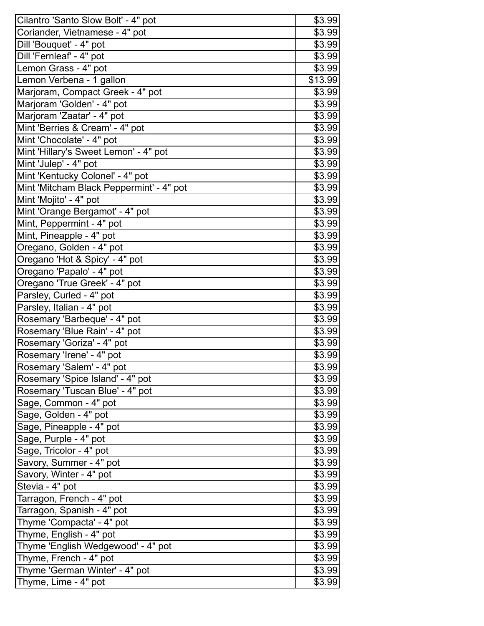| Cilantro 'Santo Slow Bolt' - 4" pot      | \$3.99  |
|------------------------------------------|---------|
| Coriander, Vietnamese - 4" pot           |         |
| Dill 'Bouquet' - 4" pot                  | \$3.99  |
| Dill 'Fernleaf' - 4" pot                 | \$3.99  |
| Lemon Grass - 4" pot                     | \$3.99  |
| Lemon Verbena - 1 gallon                 | \$13.99 |
| Marjoram, Compact Greek - 4" pot         | \$3.99  |
| Marjoram 'Golden' - 4" pot               | \$3.99  |
| Marjoram 'Zaatar' - 4" pot               | \$3.99  |
| Mint 'Berries & Cream' - 4" pot          | \$3.99  |
| Mint 'Chocolate' - 4" pot                | \$3.99  |
| Mint 'Hillary's Sweet Lemon' - 4" pot    | \$3.99  |
| Mint 'Julep' - 4" pot                    | \$3.99  |
| Mint 'Kentucky Colonel' - 4" pot         | \$3.99  |
| Mint 'Mitcham Black Peppermint' - 4" pot | \$3.99  |
| Mint 'Mojito' - 4" pot                   | \$3.99  |
| Mint 'Orange Bergamot' - 4" pot          | \$3.99  |
| Mint, Peppermint - 4" pot                | \$3.99  |
| Mint, Pineapple - 4" pot                 | \$3.99  |
| Oregano, Golden - 4" pot                 | \$3.99  |
| Oregano 'Hot & Spicy' - 4" pot           | \$3.99  |
| Oregano 'Papalo' - 4" pot                | \$3.99  |
| Oregano 'True Greek' - 4" pot            | \$3.99  |
| Parsley, Curled - 4" pot                 | \$3.99  |
| Parsley, Italian - 4" pot                | \$3.99  |
| Rosemary 'Barbeque' - 4" pot             | \$3.99  |
| Rosemary 'Blue Rain' - 4" pot            | \$3.99  |
| Rosemary 'Goriza' - 4" pot               | \$3.99  |
| Rosemary 'Irene' - 4" pot                | \$3.99  |
| Rosemary 'Salem' - 4" pot                | \$3.99  |
| Rosemary 'Spice Island' - 4" pot         | \$3.99  |
| Rosemary 'Tuscan Blue' - 4" pot          | \$3.99  |
| Sage, Common - 4" pot                    | \$3.99  |
| Sage, Golden - 4" pot                    | \$3.99  |
| Sage, Pineapple - 4" pot                 | \$3.99  |
| Sage, Purple - 4" pot                    | \$3.99  |
| Sage, Tricolor - 4" pot                  | \$3.99  |
| Savory, Summer - 4" pot                  | \$3.99  |
| Savory, Winter - 4" pot                  | \$3.99  |
| Stevia - 4" pot                          | \$3.99  |
| Tarragon, French - 4" pot                | \$3.99  |
| Tarragon, Spanish - 4" pot               | \$3.99  |
| Thyme 'Compacta' - 4" pot                | \$3.99  |
| Thyme, English - 4" pot                  | \$3.99  |
| Thyme 'English Wedgewood' - 4" pot       | \$3.99  |
| Thyme, French - 4" pot                   | \$3.99  |
| Thyme 'German Winter' - 4" pot           | \$3.99  |
| Thyme, Lime - 4" pot                     | \$3.99  |